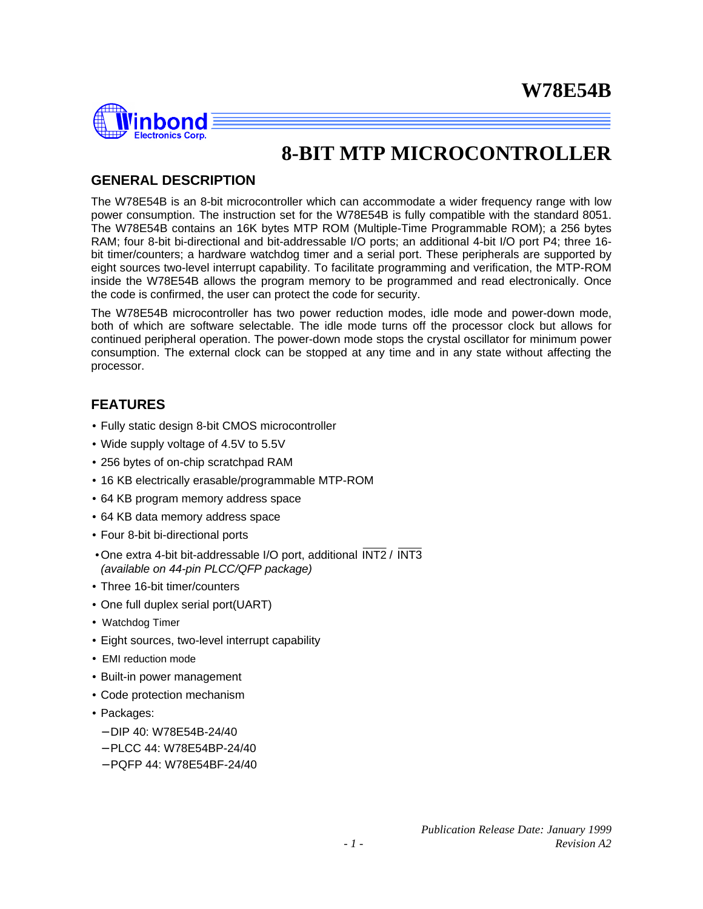

## **8-BIT MTP MICROCONTROLLER**

## **GENERAL DESCRIPTION**

The W78E54B is an 8-bit microcontroller which can accommodate a wider frequency range with low power consumption. The instruction set for the W78E54B is fully compatible with the standard 8051. The W78E54B contains an 16K bytes MTP ROM (Multiple-Time Programmable ROM); a 256 bytes RAM; four 8-bit bi-directional and bit-addressable I/O ports; an additional 4-bit I/O port P4; three 16 bit timer/counters; a hardware watchdog timer and a serial port. These peripherals are supported by eight sources two-level interrupt capability. To facilitate programming and verification, the MTP-ROM inside the W78E54B allows the program memory to be programmed and read electronically. Once the code is confirmed, the user can protect the code for security.

The W78E54B microcontroller has two power reduction modes, idle mode and power-down mode, both of which are software selectable. The idle mode turns off the processor clock but allows for continued peripheral operation. The power-down mode stops the crystal oscillator for minimum power consumption. The external clock can be stopped at any time and in any state without affecting the processor.

## **FEATURES**

- Fully static design 8-bit CMOS microcontroller
- Wide supply voltage of 4.5V to 5.5V
- 256 bytes of on-chip scratchpad RAM
- 16 KB electrically erasable/programmable MTP-ROM
- 64 KB program memory address space
- 64 KB data memory address space
- Four 8-bit bi-directional ports
- •One extra 4-bit bit-addressable I/O port, additional INT2 / INT3 *(available on 44-pin PLCC/QFP package)*
- Three 16-bit timer/counters
- One full duplex serial port(UART)
- Watchdog Timer
- Eight sources, two-level interrupt capability
- EMI reduction mode
- Built-in power management
- Code protection mechanism
- Packages:
	- − DIP 40: W78E54B-24/40
	- − PLCC 44: W78E54BP-24/40
	- − PQFP 44: W78E54BF-24/40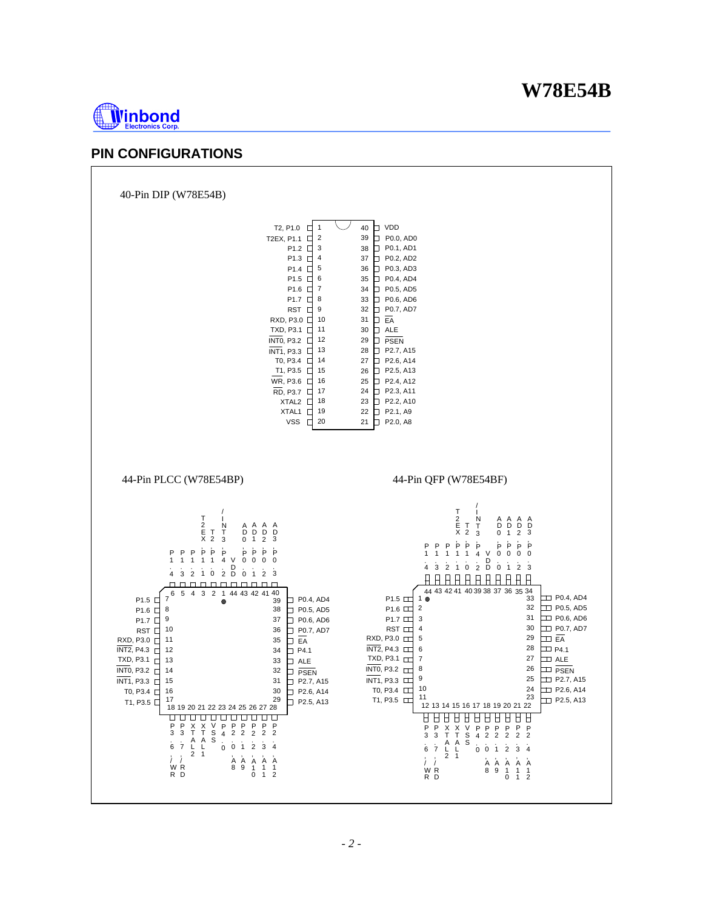

## **PIN CONFIGURATIONS**

40-Pin DIP (W78E54B)

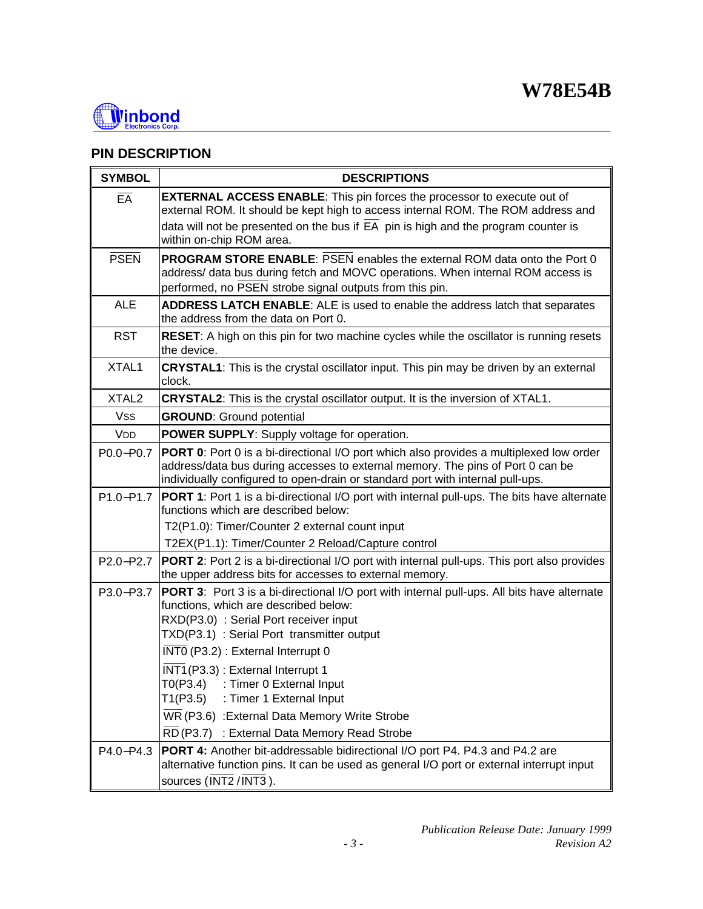

## **PIN DESCRIPTION**

| <b>SYMBOL</b>     | <b>DESCRIPTIONS</b>                                                                                                                                                                                                                                                                               |
|-------------------|---------------------------------------------------------------------------------------------------------------------------------------------------------------------------------------------------------------------------------------------------------------------------------------------------|
| EA                | <b>EXTERNAL ACCESS ENABLE:</b> This pin forces the processor to execute out of<br>external ROM. It should be kept high to access internal ROM. The ROM address and<br>data will not be presented on the bus if $\overline{EA}$ pin is high and the program counter is<br>within on-chip ROM area. |
| <b>PSEN</b>       | <b>PROGRAM STORE ENABLE: PSEN enables the external ROM data onto the Port 0</b><br>address/ data bus during fetch and MOVC operations. When internal ROM access is<br>performed, no PSEN strobe signal outputs from this pin.                                                                     |
| <b>ALE</b>        | <b>ADDRESS LATCH ENABLE:</b> ALE is used to enable the address latch that separates<br>the address from the data on Port 0.                                                                                                                                                                       |
| <b>RST</b>        | <b>RESET:</b> A high on this pin for two machine cycles while the oscillator is running resets<br>the device.                                                                                                                                                                                     |
| XTAL1             | <b>CRYSTAL1</b> : This is the crystal oscillator input. This pin may be driven by an external<br>clock.                                                                                                                                                                                           |
| XTAL <sub>2</sub> | <b>CRYSTAL2:</b> This is the crystal oscillator output. It is the inversion of XTAL1.                                                                                                                                                                                                             |
| Vss               | <b>GROUND:</b> Ground potential                                                                                                                                                                                                                                                                   |
| <b>VDD</b>        | <b>POWER SUPPLY:</b> Supply voltage for operation.                                                                                                                                                                                                                                                |
| P0.0-P0.7         | <b>PORT 0:</b> Port 0 is a bi-directional I/O port which also provides a multiplexed low order<br>address/data bus during accesses to external memory. The pins of Port 0 can be<br>individually configured to open-drain or standard port with internal pull-ups.                                |
|                   | P1.0-P1.7   PORT 1: Port 1 is a bi-directional I/O port with internal pull-ups. The bits have alternate<br>functions which are described below:                                                                                                                                                   |
|                   | T2(P1.0): Timer/Counter 2 external count input                                                                                                                                                                                                                                                    |
|                   | T2EX(P1.1): Timer/Counter 2 Reload/Capture control                                                                                                                                                                                                                                                |
| P2.0-P2.7         | <b>PORT 2:</b> Port 2 is a bi-directional I/O port with internal pull-ups. This port also provides<br>the upper address bits for accesses to external memory.                                                                                                                                     |
| P3.0-P3.7         | <b>PORT 3:</b> Port 3 is a bi-directional I/O port with internal pull-ups. All bits have alternate<br>functions, which are described below:<br>RXD(P3.0) : Serial Port receiver input<br>TXD(P3.1) : Serial Port transmitter output                                                               |
|                   | INTO (P3.2) : External Interrupt 0                                                                                                                                                                                                                                                                |
|                   | INT1(P3.3): External Interrupt 1<br>T0(P3.4)<br>: Timer 0 External Input<br>T1(P3.5)<br>: Timer 1 External Input                                                                                                                                                                                  |
|                   | WR (P3.6) : External Data Memory Write Strobe                                                                                                                                                                                                                                                     |
|                   | RD (P3.7) : External Data Memory Read Strobe                                                                                                                                                                                                                                                      |
| P4.0-P4.3         | <b>PORT 4:</b> Another bit-addressable bidirectional I/O port P4. P4.3 and P4.2 are<br>alternative function pins. It can be used as general I/O port or external interrupt input<br>sources (INT2/INT3).                                                                                          |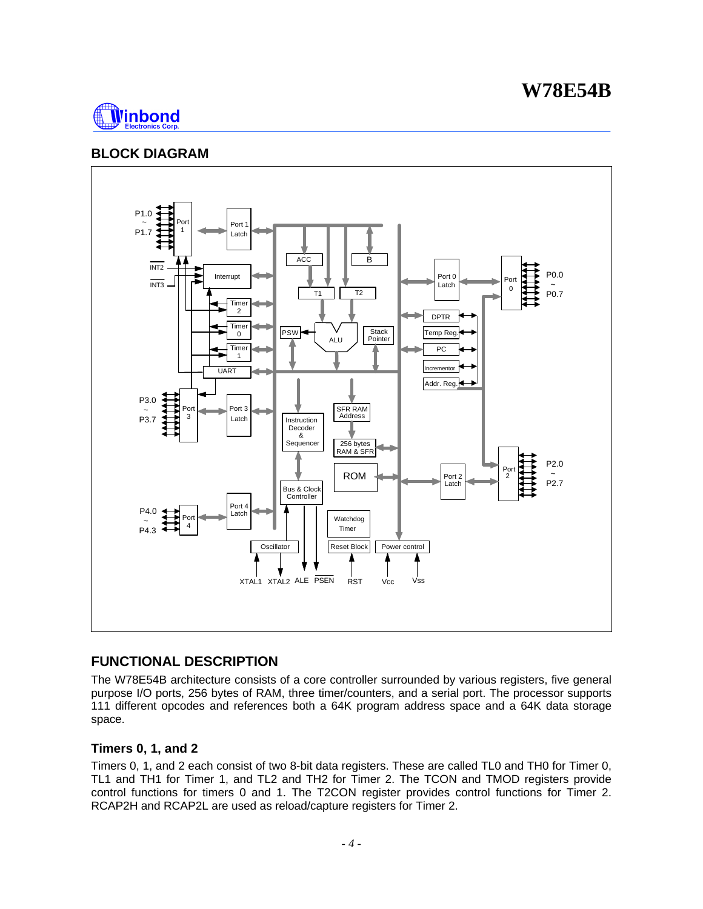

## **BLOCK DIAGRAM**



## **FUNCTIONAL DESCRIPTION**

The W78E54B architecture consists of a core controller surrounded by various registers, five general purpose I/O ports, 256 bytes of RAM, three timer/counters, and a serial port. The processor supports 111 different opcodes and references both a 64K program address space and a 64K data storage space.

## **Timers 0, 1, and 2**

Timers 0, 1, and 2 each consist of two 8-bit data registers. These are called TL0 and TH0 for Timer 0, TL1 and TH1 for Timer 1, and TL2 and TH2 for Timer 2. The TCON and TMOD registers provide control functions for timers 0 and 1. The T2CON register provides control functions for Timer 2. RCAP2H and RCAP2L are used as reload/capture registers for Timer 2.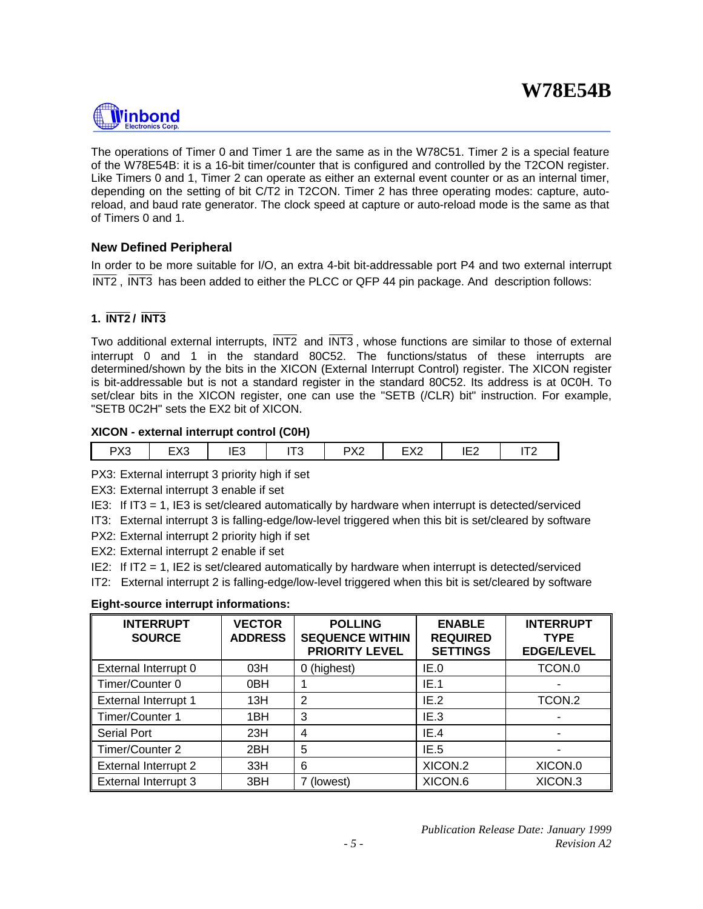

The operations of Timer 0 and Timer 1 are the same as in the W78C51. Timer 2 is a special feature of the W78E54B: it is a 16-bit timer/counter that is configured and controlled by the T2CON register. Like Timers 0 and 1, Timer 2 can operate as either an external event counter or as an internal timer, depending on the setting of bit C/T2 in T2CON. Timer 2 has three operating modes: capture, autoreload, and baud rate generator. The clock speed at capture or auto-reload mode is the same as that of Timers 0 and 1.

## **New Defined Peripheral**

In order to be more suitable for I/O, an extra 4-bit bit-addressable port P4 and two external interrupt INT2 , INT3 has been added to either the PLCC or QFP 44 pin package. And description follows:

## **1. INT2 / INT3**

Two additional external interrupts, INT2 and INT3 , whose functions are similar to those of external interrupt 0 and 1 in the standard 80C52. The functions/status of these interrupts are determined/shown by the bits in the XICON (External Interrupt Control) register. The XICON register is bit-addressable but is not a standard register in the standard 80C52. Its address is at 0C0H. To set/clear bits in the XICON register, one can use the "SETB (/CLR) bit" instruction. For example, "SETB 0C2H" sets the EX2 bit of XICON.

#### **XICON - external interrupt control (C0H)**

| nvo<br>د∧ | $\Gamma V$<br>∟∧∿ | $-1$<br>╺<br>د∟ا | r-a<br>. | DV0<br>∼∠ | rvo<br>⊏∧∠ | IE <sub>2</sub> | $- - -$<br>. . |
|-----------|-------------------|------------------|----------|-----------|------------|-----------------|----------------|
|           |                   | __               |          |           |            |                 |                |

PX3: External interrupt 3 priority high if set

EX3: External interrupt 3 enable if set

IE3: If IT3 = 1, IE3 is set/cleared automatically by hardware when interrupt is detected/serviced

IT3: External interrupt 3 is falling-edge/low-level triggered when this bit is set/cleared by software

PX2: External interrupt 2 priority high if set

EX2: External interrupt 2 enable if set

IE2: If IT2 = 1, IE2 is set/cleared automatically by hardware when interrupt is detected/serviced

IT2: External interrupt 2 is falling-edge/low-level triggered when this bit is set/cleared by software

**Eight-source interrupt informations:**

| <b>INTERRUPT</b><br><b>SOURCE</b> | <b>VECTOR</b><br><b>ADDRESS</b> | <b>POLLING</b><br><b>SEQUENCE WITHIN</b><br><b>PRIORITY LEVEL</b> | <b>ENABLE</b><br><b>REQUIRED</b><br><b>SETTINGS</b> | <b>INTERRUPT</b><br><b>TYPE</b><br><b>EDGE/LEVEL</b> |
|-----------------------------------|---------------------------------|-------------------------------------------------------------------|-----------------------------------------------------|------------------------------------------------------|
| External Interrupt 0              | 03H                             | 0 (highest)                                                       | IE.0                                                | TCON.0                                               |
| Timer/Counter 0                   | 0BH                             |                                                                   | IE.1                                                |                                                      |
| <b>External Interrupt 1</b>       | 13H                             | $\overline{2}$                                                    | IE.2                                                | TCON.2                                               |
| Timer/Counter 1                   | 1BH                             | 3                                                                 | IE.3                                                |                                                      |
| <b>Serial Port</b>                | 23H                             | 4                                                                 | IE.4                                                |                                                      |
| Timer/Counter 2                   | 2BH                             | 5                                                                 | IE.5                                                |                                                      |
| <b>External Interrupt 2</b>       | 33H                             | 6                                                                 | XICON.2                                             | XICON.0                                              |
| <b>External Interrupt 3</b>       | 3BH                             | (lowest)                                                          | XICON.6                                             | XICON.3                                              |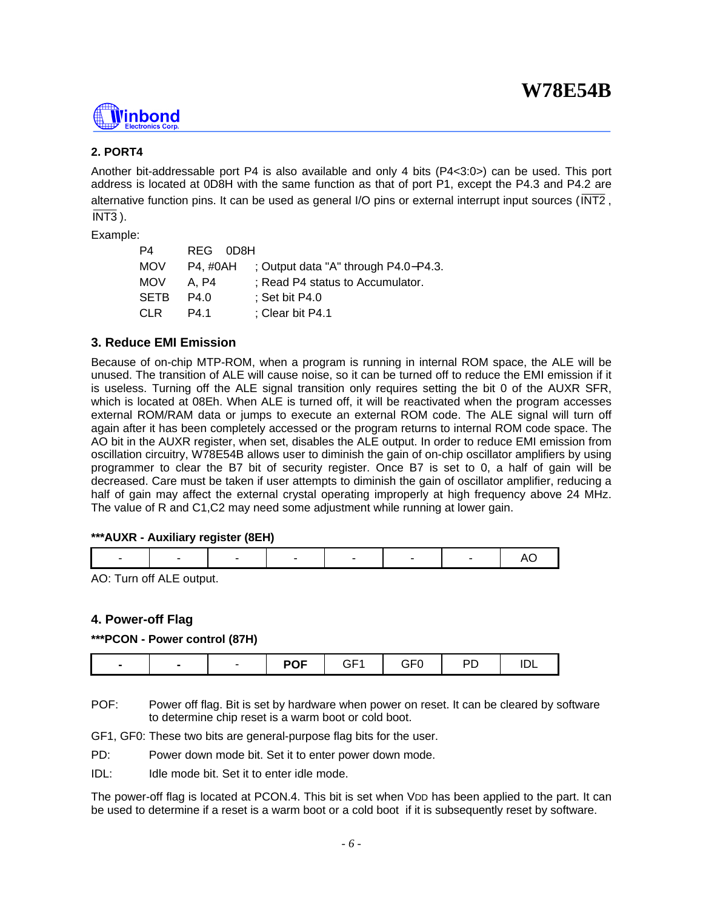

## **2. PORT4**

Another bit-addressable port P4 is also available and only 4 bits (P4<3:0>) can be used. This port address is located at 0D8H with the same function as that of port P1, except the P4.3 and P4.2 are alternative function pins. It can be used as general I/O pins or external interrupt input sources (INT2 ,  $\overline{\text{INT3}}$ ).

Example:

| P4         | REG 0D8H |                                      |
|------------|----------|--------------------------------------|
| <b>MOV</b> | P4. #0AH | ; Output data "A" through P4.0–P4.3. |
| <b>MOV</b> | A. P4    | ; Read P4 status to Accumulator.     |
| SETB       | P4.0     | $\frac{1}{2}$ Set bit P4.0           |
| CLR.       | P4.1     | ; Clear bit P4.1                     |

#### **3. Reduce EMI Emission**

Because of on-chip MTP-ROM, when a program is running in internal ROM space, the ALE will be unused. The transition of ALE will cause noise, so it can be turned off to reduce the EMI emission if it is useless. Turning off the ALE signal transition only requires setting the bit 0 of the AUXR SFR, which is located at 08Eh. When ALE is turned off, it will be reactivated when the program accesses external ROM/RAM data or jumps to execute an external ROM code. The ALE signal will turn off again after it has been completely accessed or the program returns to internal ROM code space. The AO bit in the AUXR register, when set, disables the ALE output. In order to reduce EMI emission from oscillation circuitry, W78E54B allows user to diminish the gain of on-chip oscillator amplifiers by using programmer to clear the B7 bit of security register. Once B7 is set to 0, a half of gain will be decreased. Care must be taken if user attempts to diminish the gain of oscillator amplifier, reducing a half of gain may affect the external crystal operating improperly at high frequency above 24 MHz. The value of R and C1,C2 may need some adjustment while running at lower gain.

#### **\*\*\*AUXR - Auxiliary register (8EH)**

|--|--|

AO: Turn off ALE output.

## **4. Power-off Flag**

#### **\*\*\*PCON - Power control (87H)**

| GF1<br>---<br>__<br>ᅚ<br>$\bullet$<br>ັ<br>$-$ |
|------------------------------------------------|
|------------------------------------------------|

- POF: Power off flag. Bit is set by hardware when power on reset. It can be cleared by software to determine chip reset is a warm boot or cold boot.
- GF1, GF0: These two bits are general-purpose flag bits for the user.
- PD: Power down mode bit. Set it to enter power down mode.
- IDL: Idle mode bit. Set it to enter idle mode.

The power-off flag is located at PCON.4. This bit is set when VDD has been applied to the part. It can be used to determine if a reset is a warm boot or a cold boot if it is subsequently reset by software.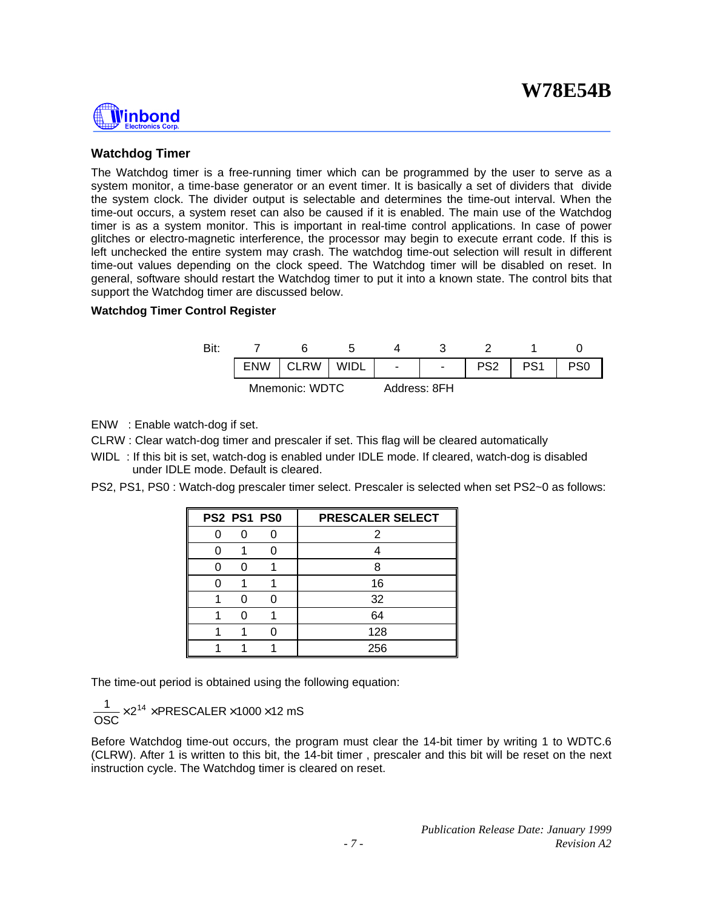# **Ninbond**

### **Watchdog Timer**

The Watchdog timer is a free-running timer which can be programmed by the user to serve as a system monitor, a time-base generator or an event timer. It is basically a set of dividers that divide the system clock. The divider output is selectable and determines the time-out interval. When the time-out occurs, a system reset can also be caused if it is enabled. The main use of the Watchdog timer is as a system monitor. This is important in real-time control applications. In case of power glitches or electro-magnetic interference, the processor may begin to execute errant code. If this is left unchecked the entire system may crash. The watchdog time-out selection will result in different time-out values depending on the clock speed. The Watchdog timer will be disabled on reset. In general, software should restart the Watchdog timer to put it into a known state. The control bits that support the Watchdog timer are discussed below.

#### **Watchdog Timer Control Register**



ENW : Enable watch-dog if set.

CLRW : Clear watch-dog timer and prescaler if set. This flag will be cleared automatically

WIDL : If this bit is set, watch-dog is enabled under IDLE mode. If cleared, watch-dog is disabled under IDLE mode. Default is cleared.

PS2, PS1, PS0 : Watch-dog prescaler timer select. Prescaler is selected when set PS2~0 as follows:

| PS2 PS1 PS0 | PRESCALER SELECT |
|-------------|------------------|
|             | 2                |
|             |                  |
|             | я                |
|             | 16               |
|             | 32               |
|             | 64               |
|             | 128              |
|             | 256              |

The time-out period is obtained using the following equation:

$$
\frac{1}{\text{OSC}} \times 2^{14} \times \text{PRESCALER} \times 1000 \times 12 \text{ mS}
$$

Before Watchdog time-out occurs, the program must clear the 14-bit timer by writing 1 to WDTC.6 (CLRW). After 1 is written to this bit, the 14-bit timer , prescaler and this bit will be reset on the next instruction cycle. The Watchdog timer is cleared on reset.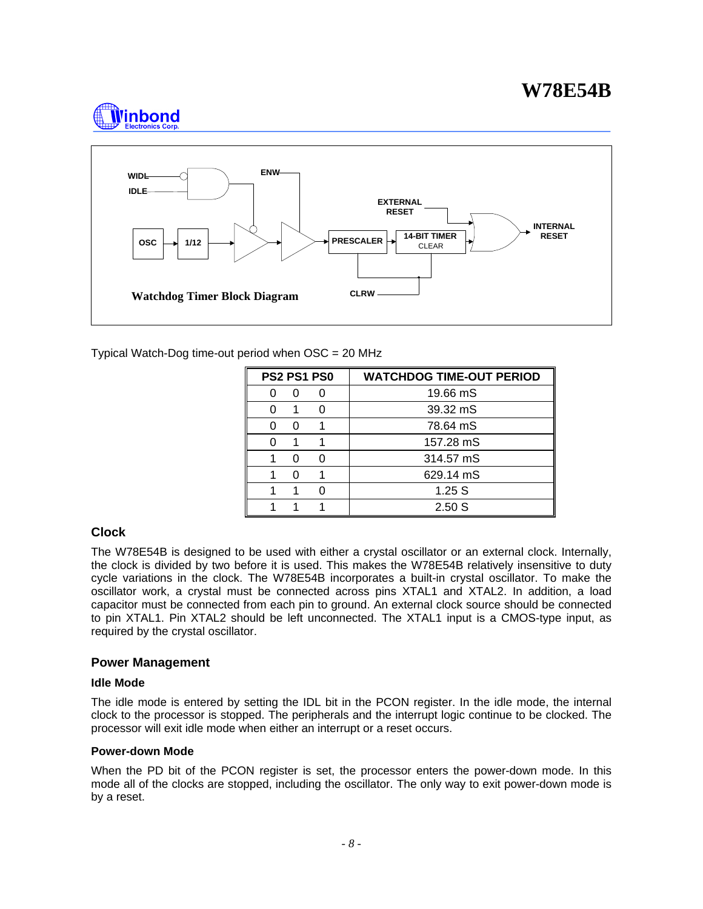



Typical Watch-Dog time-out period when OSC = 20 MHz

|   | <b>PS2 PS1 PS0</b> | <b>WATCHDOG TIME-OUT PERIOD</b> |
|---|--------------------|---------------------------------|
| ი | 0                  | 19.66 mS                        |
|   |                    | 39.32 mS                        |
| ი |                    | 78.64 mS                        |
|   |                    | 157.28 mS                       |
| 0 | O                  | 314.57 mS                       |
| ŋ |                    | 629.14 mS                       |
|   |                    | 1.25S                           |
|   |                    | 2.50S                           |

## **Clock**

The W78E54B is designed to be used with either a crystal oscillator or an external clock. Internally, the clock is divided by two before it is used. This makes the W78E54B relatively insensitive to duty cycle variations in the clock. The W78E54B incorporates a built-in crystal oscillator. To make the oscillator work, a crystal must be connected across pins XTAL1 and XTAL2. In addition, a load capacitor must be connected from each pin to ground. An external clock source should be connected to pin XTAL1. Pin XTAL2 should be left unconnected. The XTAL1 input is a CMOS-type input, as required by the crystal oscillator.

#### **Power Management**

#### **Idle Mode**

The idle mode is entered by setting the IDL bit in the PCON register. In the idle mode, the internal clock to the processor is stopped. The peripherals and the interrupt logic continue to be clocked. The processor will exit idle mode when either an interrupt or a reset occurs.

#### **Power-down Mode**

When the PD bit of the PCON register is set, the processor enters the power-down mode. In this mode all of the clocks are stopped, including the oscillator. The only way to exit power-down mode is by a reset.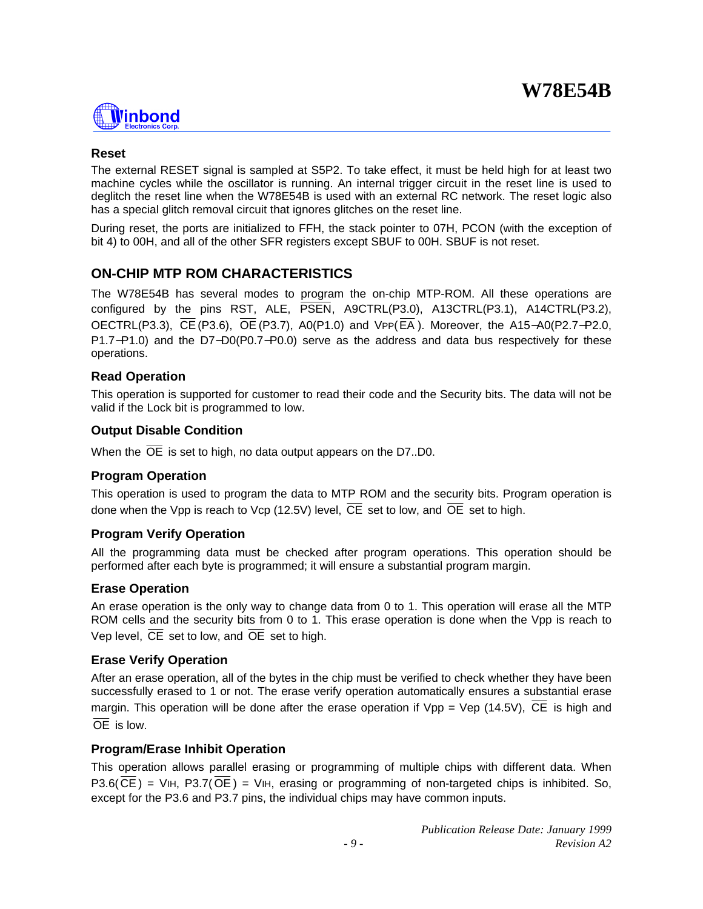

#### **Reset**

The external RESET signal is sampled at S5P2. To take effect, it must be held high for at least two machine cycles while the oscillator is running. An internal trigger circuit in the reset line is used to deglitch the reset line when the W78E54B is used with an external RC network. The reset logic also has a special glitch removal circuit that ignores glitches on the reset line.

During reset, the ports are initialized to FFH, the stack pointer to 07H, PCON (with the exception of bit 4) to 00H, and all of the other SFR registers except SBUF to 00H. SBUF is not reset.

## **ON-CHIP MTP ROM CHARACTERISTICS**

The W78E54B has several modes to program the on-chip MTP-ROM. All these operations are configured by the pins RST, ALE, PSEN, A9CTRL(P3.0), A13CTRL(P3.1), A14CTRL(P3.2), OECTRL(P3.3), CE(P3.6), OE (P3.7), A0(P1.0) and VPP(EA ). Moreover, the A15−A0(P2.7−P2.0, P1.7−P1.0) and the D7−D0(P0.7−P0.0) serve as the address and data bus respectively for these operations.

#### **Read Operation**

This operation is supported for customer to read their code and the Security bits. The data will not be valid if the Lock bit is programmed to low.

#### **Output Disable Condition**

When the  $\overline{OE}$  is set to high, no data output appears on the D7..D0.

#### **Program Operation**

This operation is used to program the data to MTP ROM and the security bits. Program operation is done when the Vpp is reach to Vcp (12.5V) level, CE set to low, and OE set to high.

#### **Program Verify Operation**

All the programming data must be checked after program operations. This operation should be performed after each byte is programmed; it will ensure a substantial program margin.

#### **Erase Operation**

An erase operation is the only way to change data from 0 to 1. This operation will erase all the MTP ROM cells and the security bits from 0 to 1. This erase operation is done when the Vpp is reach to Vep level, CE set to low, and OE set to high.

#### **Erase Verify Operation**

After an erase operation, all of the bytes in the chip must be verified to check whether they have been successfully erased to 1 or not. The erase verify operation automatically ensures a substantial erase margin. This operation will be done after the erase operation if  $Vpp = Vep (14.5V)$ ,  $\overline{CE}$  is high and  $\overline{OE}$  is low.

## **Program/Erase Inhibit Operation**

This operation allows parallel erasing or programming of multiple chips with different data. When  $P3.6(CE) = VIH$ ,  $P3.7(OE) = VIH$ , erasing or programming of non-targeted chips is inhibited. So, except for the P3.6 and P3.7 pins, the individual chips may have common inputs.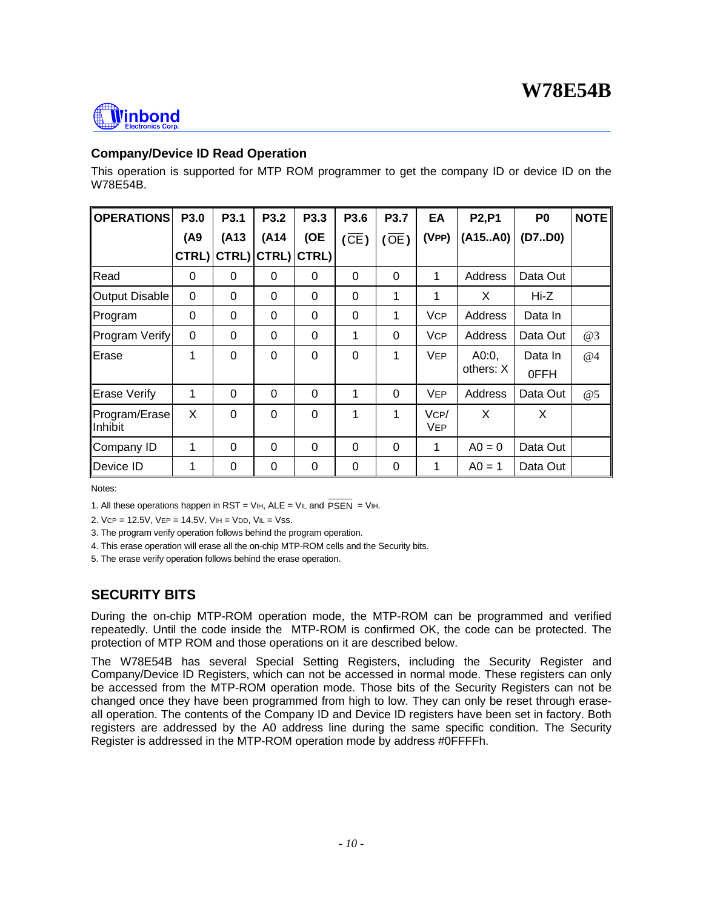

## **Company/Device ID Read Operation**

This operation is supported for MTP ROM programmer to get the company ID or device ID on the W78E54B.

| <b>OPERATIONS</b>   | P <sub>3.0</sub> | P <sub>3.1</sub> | P <sub>3.2</sub> | P3.3     | P3.6              | P <sub>3.7</sub> | EA         | <b>P2,P1</b> | P <sub>0</sub> | <b>NOTE</b> |
|---------------------|------------------|------------------|------------------|----------|-------------------|------------------|------------|--------------|----------------|-------------|
|                     | (A9)             | (A13             | (A14             | (OE      | $(\overline{CE})$ | $\overline{OE}$  | (VPP)      | (A15A0)      | (D7.D0)        |             |
|                     | CTRL)            |                  | CTRL) CTRL)      | CTRL)    |                   |                  |            |              |                |             |
| Read                | $\Omega$         | 0                | 0                | 0        | 0                 | $\Omega$         | 1          | Address      | Data Out       |             |
| Output Disable      | $\mathbf 0$      | $\Omega$         | $\Omega$         | 0        | 0                 | 1                | 1          | X            | Hi-Z           |             |
| Program             | $\Omega$         | 0                | $\Omega$         | 0        | $\Omega$          | 1                | <b>VCP</b> | Address      | Data In        |             |
| Program Verify      | 0                | $\Omega$         | $\Omega$         | 0        | 1                 | $\Omega$         | <b>VCP</b> | Address      | Data Out       | @3          |
| Erase               | 1                | 0                | $\Omega$         | 0        | 0                 | 1                | <b>VEP</b> | A0:0         | Data In        | @4          |
|                     |                  |                  |                  |          |                   |                  |            | others: X    | 0FFH           |             |
| <b>Erase Verify</b> | 1                | 0                | $\Omega$         | $\Omega$ | 1                 | $\Omega$         | <b>VEP</b> | Address      | Data Out       | @5          |
| Program/Erase       | X                | $\Omega$         | $\Omega$         | 0        | 1                 | 1                | VCP/       | X            | X              |             |
| Inhibit             |                  |                  |                  |          |                   |                  | <b>VEP</b> |              |                |             |
| Company ID          | 1                | $\Omega$         | $\Omega$         | 0        | $\Omega$          | $\Omega$         | 1          | $A0 = 0$     | Data Out       |             |
| Device ID           | 1                | 0                | $\Omega$         | 0        | $\Omega$          | $\mathbf 0$      | 1          | $A0 = 1$     | Data Out       |             |

Notes:

1. All these operations happen in RST = VIH,  $ALE = VIL$  and  $\overline{PSEN} = VIH$ .

2. VCP = 12.5V, VEP = 14.5V, VIH = VDD, VIL = Vss.

3. The program verify operation follows behind the program operation.

4. This erase operation will erase all the on-chip MTP-ROM cells and the Security bits.

5. The erase verify operation follows behind the erase operation.

## **SECURITY BITS**

During the on-chip MTP-ROM operation mode, the MTP-ROM can be programmed and verified repeatedly. Until the code inside the MTP-ROM is confirmed OK, the code can be protected. The protection of MTP ROM and those operations on it are described below.

The W78E54B has several Special Setting Registers, including the Security Register and Company/Device ID Registers, which can not be accessed in normal mode. These registers can only be accessed from the MTP-ROM operation mode. Those bits of the Security Registers can not be changed once they have been programmed from high to low. They can only be reset through eraseall operation. The contents of the Company ID and Device ID registers have been set in factory. Both registers are addressed by the A0 address line during the same specific condition. The Security Register is addressed in the MTP-ROM operation mode by address #0FFFFh.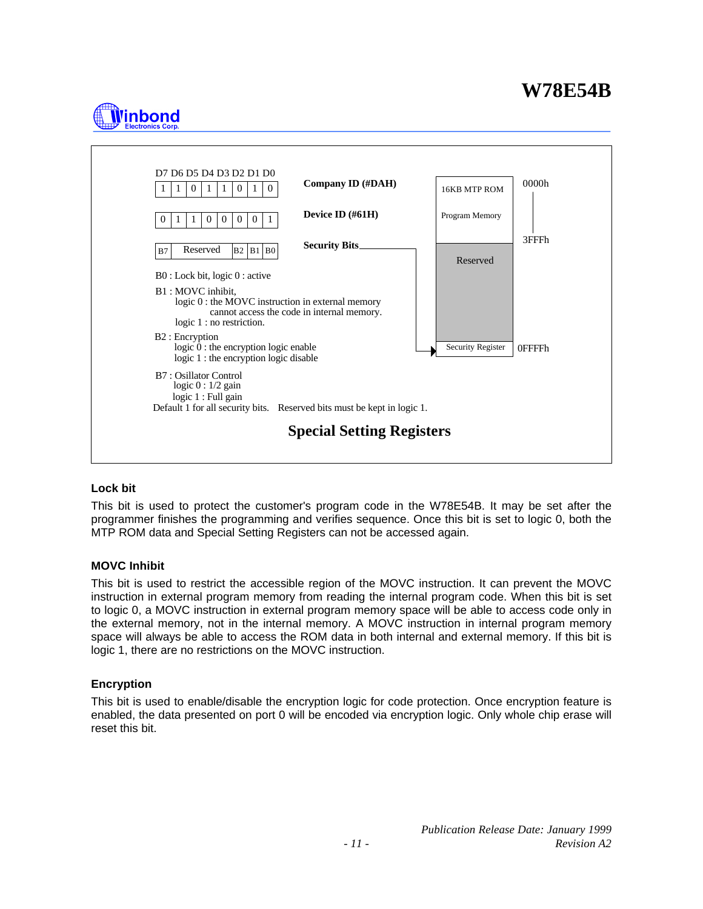# **l'inbond**



#### **Lock bit**

This bit is used to protect the customer's program code in the W78E54B. It may be set after the programmer finishes the programming and verifies sequence. Once this bit is set to logic 0, both the MTP ROM data and Special Setting Registers can not be accessed again.

#### **MOVC Inhibit**

This bit is used to restrict the accessible region of the MOVC instruction. It can prevent the MOVC instruction in external program memory from reading the internal program code. When this bit is set to logic 0, a MOVC instruction in external program memory space will be able to access code only in the external memory, not in the internal memory. A MOVC instruction in internal program memory space will always be able to access the ROM data in both internal and external memory. If this bit is logic 1, there are no restrictions on the MOVC instruction.

#### **Encryption**

This bit is used to enable/disable the encryption logic for code protection. Once encryption feature is enabled, the data presented on port 0 will be encoded via encryption logic. Only whole chip erase will reset this bit.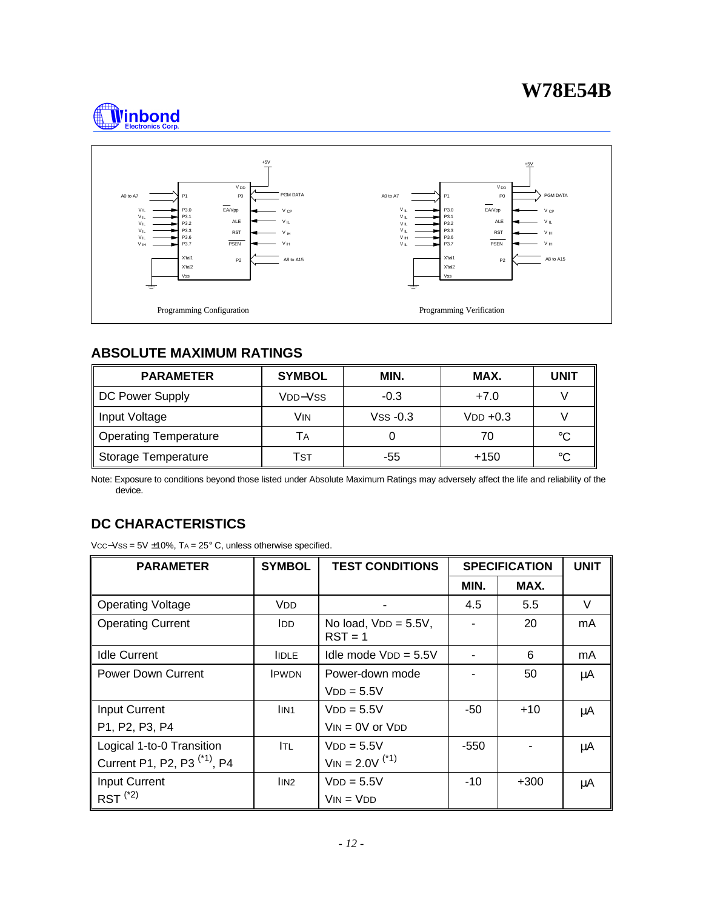



## **ABSOLUTE MAXIMUM RATINGS**

| <b>PARAMETER</b>             | <b>SYMBOL</b> | MIN.       | MAX.       | UNIT |
|------------------------------|---------------|------------|------------|------|
| DC Power Supply              | Vpp–Vss       | $-0.3$     | $+7.0$     |      |
| Input Voltage                | Vin           | $VSS -0.3$ | $VDD +0.3$ |      |
| <b>Operating Temperature</b> | l A           |            | 70         | °C   |
| <b>Storage Temperature</b>   | Tsт           | -55        | $+150$     | °C   |

Note: Exposure to conditions beyond those listed under Absolute Maximum Ratings may adversely affect the life and reliability of the device.

## **DC CHARACTERISTICS**

VCC−VSS = 5V ±10%, TA = 25° C, unless otherwise specified.

| <b>PARAMETER</b>                        | <b>SYMBOL</b>                  | <b>TEST CONDITIONS</b>               |        | <b>SPECIFICATION</b> | <b>UNIT</b> |
|-----------------------------------------|--------------------------------|--------------------------------------|--------|----------------------|-------------|
|                                         |                                |                                      | MIN.   | MAX.                 |             |
| <b>Operating Voltage</b>                | <b>VDD</b>                     |                                      | 4.5    | 5.5                  | $\vee$      |
| <b>Operating Current</b>                | <b>IDD</b>                     | No load, $VDD = 5.5V$ ,<br>$RST = 1$ |        | 20                   | mA          |
| <b>Idle Current</b>                     | <b>IIDLE</b>                   | Idle mode $VDD = 5.5V$               |        | 6                    | mA          |
| <b>Power Down Current</b>               | <b>IPWDN</b>                   | Power-down mode                      |        | 50                   | μA          |
|                                         |                                | $VDD = 5.5V$                         |        |                      |             |
| Input Current                           | IIN <sub>1</sub>               | $VDD = 5.5V$                         | -50    | $+10$                | μA          |
| P1, P2, P3, P4                          |                                | $V_{IN} = 0V$ or $V_{DD}$            |        |                      |             |
| Logical 1-to-0 Transition               | Itl                            | $VDD = 5.5V$                         | $-550$ |                      | μA          |
| Current P1, P2, P3 <sup>(*1)</sup> , P4 |                                | $V_{IN} = 2.0V^{(1)}$                |        |                      |             |
| <b>Input Current</b>                    | $\overline{I}$ IN <sub>2</sub> | $VDD = 5.5V$                         | $-10$  | $+300$               | μA          |
| $RST^{(2)}$                             |                                | $VIN = VDD$                          |        |                      |             |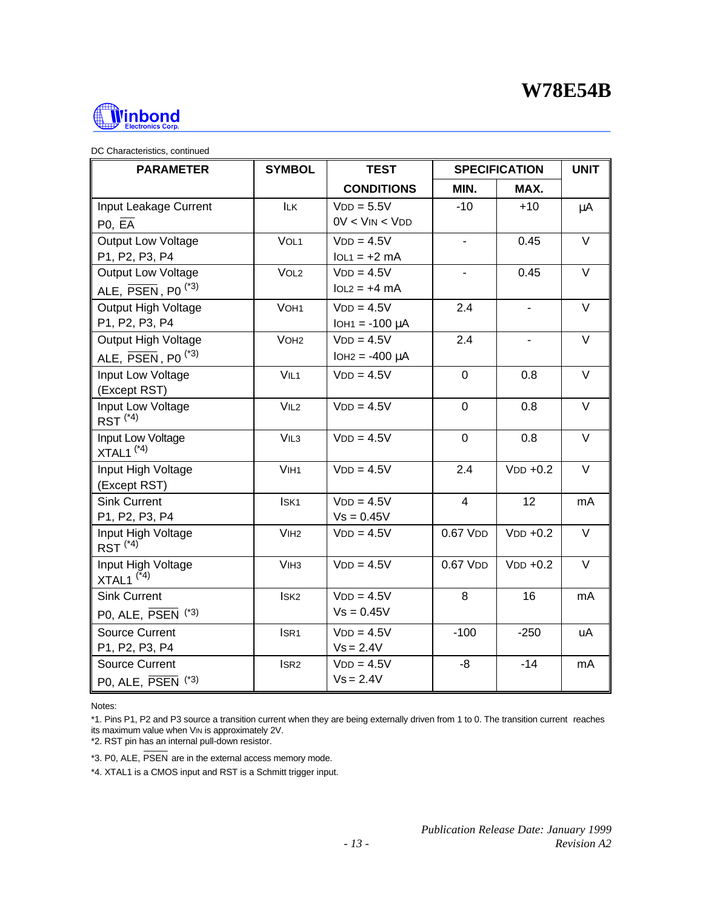

| DC Characteristics, continued |  |
|-------------------------------|--|
|                               |  |

| <b>PARAMETER</b>                                        | <b>SYMBOL</b>    | <b>TEST</b>          |                       | <b>SPECIFICATION</b> | <b>UNIT</b> |
|---------------------------------------------------------|------------------|----------------------|-----------------------|----------------------|-------------|
|                                                         |                  | <b>CONDITIONS</b>    | MIN.                  | MAX.                 |             |
| Input Leakage Current                                   | <b>ILK</b>       | $VDD = 5.5V$         | $-10$                 | $+10$                | μA          |
| PO, EA                                                  |                  | $0V < V$ IN < $V$ DD |                       |                      |             |
| <b>Output Low Voltage</b>                               | VOL <sub>1</sub> | $VDD = 4.5V$         | $\blacksquare$        | 0.45                 | V           |
| P1, P2, P3, P4                                          |                  | $IOL1 = +2 mA$       |                       |                      |             |
| <b>Output Low Voltage</b>                               | VOL <sub>2</sub> | $VDD = 4.5V$         |                       | 0.45                 | $\vee$      |
| ALE. $\overline{\mathsf{PSEN}}$ . P0 <sup>(*3)</sup>    |                  | $IOL2 = +4 mA$       |                       |                      |             |
| Output High Voltage                                     | VOH <sub>1</sub> | $VDD = 4.5V$         | 2.4                   |                      | $\vee$      |
| P1, P2, P3, P4                                          |                  | $IOH1 = -100 \mu A$  |                       |                      |             |
| Output High Voltage                                     | VOH <sub>2</sub> | $VDD = 4.5V$         | 2.4                   | $\blacksquare$       | $\vee$      |
| ALE, $\overline{\text{PSEN}}$ , P0 <sup>(*3)</sup>      |                  | $IOH2 = -400 \mu A$  |                       |                      |             |
| Input Low Voltage                                       | VIL1             | $VDD = 4.5V$         | $\overline{0}$        | 0.8                  | $\vee$      |
| (Except RST)                                            |                  |                      |                       |                      |             |
| Input Low Voltage<br>$RST$ <sup><math>(*4)</math></sup> | VIL2             | $VDD = 4.5V$         | $\overline{0}$        | 0.8                  | $\vee$      |
| Input Low Voltage<br>$XTAL1$ <sup>(*4)</sup>            | VIL <sub>3</sub> | $VDD = 4.5V$         | $\overline{0}$        | 0.8                  | $\vee$      |
| Input High Voltage<br>(Except RST)                      | VIH <sub>1</sub> | $VDD = 4.5V$         | 2.4                   | $VDD +0.2$           | V           |
| <b>Sink Current</b>                                     | ISK <sub>1</sub> | $VDD = 4.5V$         | $\overline{4}$        | 12                   | mA          |
| P1, P2, P3, P4                                          |                  | $Vs = 0.45V$         |                       |                      |             |
| Input High Voltage<br>$RST^{(*4)}$                      | V <sub>IH2</sub> | $VDD = 4.5V$         | $0.67$ VDD            | $VDD +0.2$           | V           |
| Input High Voltage<br>$XTAL1$ <sup>(*4)</sup>           | V <sub>IH3</sub> | $VDD = 4.5V$         | $0.67$ V <sub>D</sub> | $VDD +0.2$           | $\vee$      |
| <b>Sink Current</b>                                     | ISK <sub>2</sub> | $VDD = 4.5V$         | 8                     | 16                   | mA          |
| PO, ALE, $\overline{PSEN}$ (*3)                         |                  | $Vs = 0.45V$         |                       |                      |             |
| <b>Source Current</b>                                   | ISR <sub>1</sub> | $VDD = 4.5V$         | $-100$                | $-250$               | uA          |
| P1, P2, P3, P4                                          |                  | $Vs = 2.4V$          |                       |                      |             |
| <b>Source Current</b>                                   | ISR <sub>2</sub> | $VDD = 4.5V$         | -8                    | $-14$                | mA          |
| PO, ALE, $\overline{PSEN}$ (*3)                         |                  | $Vs = 2.4V$          |                       |                      |             |

Notes:

\*1. Pins P1, P2 and P3 source a transition current when they are being externally driven from 1 to 0. The transition current reaches its maximum value when VIN is approximately 2V.

\*2. RST pin has an internal pull-down resistor.

\*3. P0, ALE, PSEN are in the external access memory mode.

\*4. XTAL1 is a CMOS input and RST is a Schmitt trigger input.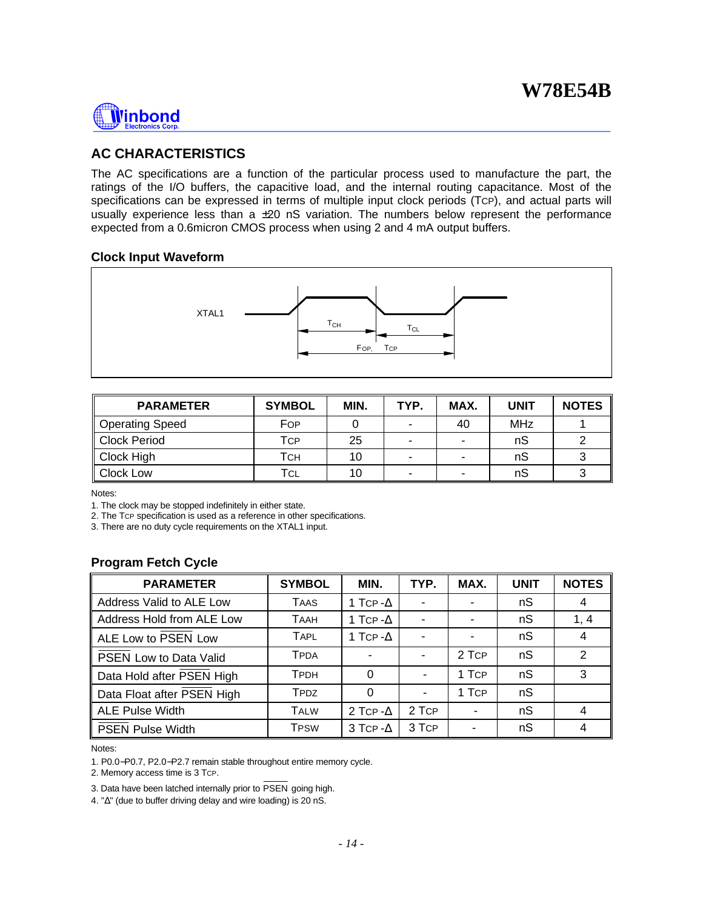

## **AC CHARACTERISTICS**

The AC specifications are a function of the particular process used to manufacture the part, the ratings of the I/O buffers, the capacitive load, and the internal routing capacitance. Most of the specifications can be expressed in terms of multiple input clock periods (TCP), and actual parts will usually experience less than a  $\pm 20$  nS variation. The numbers below represent the performance expected from a 0.6micron CMOS process when using 2 and 4 mA output buffers.

#### **Clock Input Waveform**



| <b>PARAMETER</b> | <b>SYMBOL</b> | MIN. | TYP.                     | MAX.                     | <b>UNIT</b> | <b>NOTES</b> |
|------------------|---------------|------|--------------------------|--------------------------|-------------|--------------|
| Operating Speed  | For           |      | -                        | 40                       | <b>MHz</b>  |              |
| Clock Period     | Тср           | 25   | $\overline{\phantom{0}}$ |                          | nS          |              |
| Clock High       | Тсн           | 10   |                          | ۰                        | nS          |              |
| Clock Low        | ⊤с∟           | 10   | $\overline{\phantom{0}}$ | $\overline{\phantom{0}}$ | nS          |              |

Notes:

1. The clock may be stopped indefinitely in either state.

2. The TCP specification is used as a reference in other specifications.

3. There are no duty cycle requirements on the XTAL1 input.

## **Program Fetch Cycle**

| <b>PARAMETER</b>              | <b>SYMBOL</b> | MIN.             | TYP.  | MAX.   | <b>UNIT</b> | <b>NOTES</b>   |
|-------------------------------|---------------|------------------|-------|--------|-------------|----------------|
| Address Valid to ALE Low      | <b>TAAS</b>   | 1 Tcp - $\Delta$ |       |        | nS          | 4              |
| Address Hold from ALE Low     | <b>TAAH</b>   | 1 Tcp - $\Delta$ |       |        | nS          | 1, 4           |
| ALE Low to PSEN Low           | <b>TAPL</b>   | 1 Tcp - $\Delta$ |       |        | nS          | $\overline{4}$ |
| <b>PSEN Low to Data Valid</b> | <b>TPDA</b>   |                  |       | 2 TCP  | nS          | 2              |
| Data Hold after PSEN High     | <b>TPDH</b>   | 0                |       | 1 TcP  | nS          | 3              |
| Data Float after PSEN High    | TPDZ          | 0                |       | 1 TCP  | nS          |                |
| <b>ALE Pulse Width</b>        | <b>TALW</b>   | 2 TCP - $\Delta$ | 2 TCP | $\sim$ | nS          | $\overline{4}$ |
| <b>PSEN Pulse Width</b>       | <b>TPSW</b>   | 3 TCP - $\Delta$ | 3 TCP | ۰      | nS          | 4              |

Notes:

1. P0.0−P0.7, P2.0−P2.7 remain stable throughout entire memory cycle.

2. Memory access time is 3 TCP.

3. Data have been latched internally prior to PSEN going high.

4. "Δ" (due to buffer driving delay and wire loading) is 20 nS.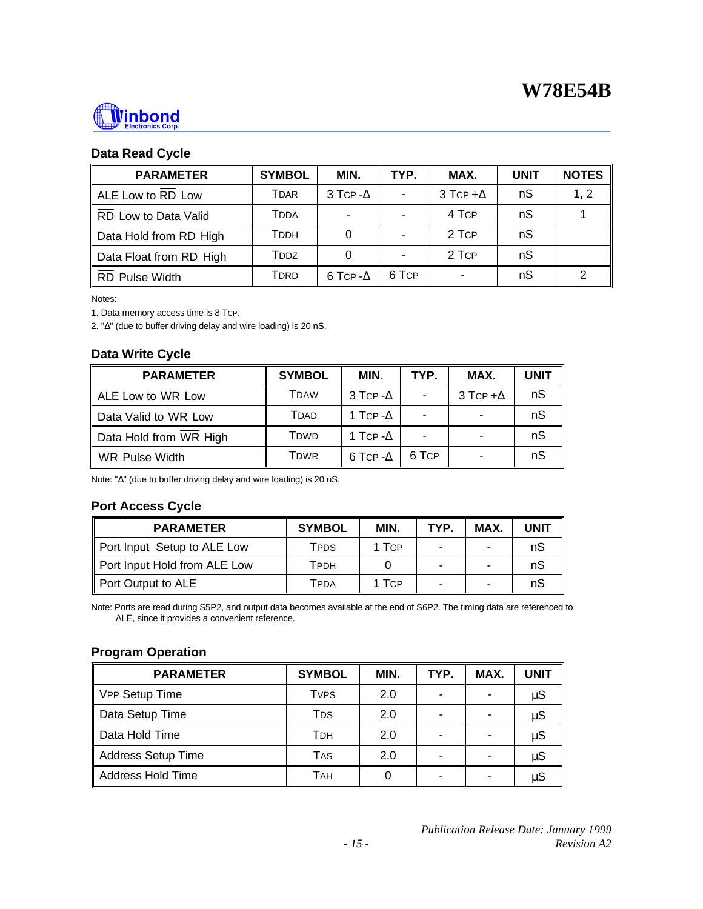

## **Data Read Cycle**

| <b>PARAMETER</b>        | <b>SYMBOL</b> | MIN.             | TYP.  | MAX.             | <b>UNIT</b> | <b>NOTES</b> |
|-------------------------|---------------|------------------|-------|------------------|-------------|--------------|
| ALE Low to RD Low       | Tdar          | 3 TCP- $\Delta$  |       | 3 TCP + $\Delta$ | nS          | 1, 2         |
| RD Low to Data Valid    | Tdda          |                  |       | 4 TCP            | nS          |              |
| Data Hold from RD High  | Тррн          |                  |       | 2 TCP            | nS          |              |
| Data Float from RD High | Todz          |                  |       | 2 TCP            | nS          |              |
| RD Pulse Width          | TDRD          | 6 TCP - $\Delta$ | 6 TCP |                  | nS          |              |

Notes:

1. Data memory access time is 8 TCP.

2. "Δ" (due to buffer driving delay and wire loading) is 20 nS.

## **Data Write Cycle**

| <b>PARAMETER</b>       | <b>SYMBOL</b> | MIN.             | TYP.  | MAX.             | <b>UNIT</b> |
|------------------------|---------------|------------------|-------|------------------|-------------|
| ALE Low to WR Low      | TDAW          | 3 TCP - $\Delta$ |       | 3 TCP + $\Delta$ | nS          |
| Data Valid to WR Low   | <b>T</b> DAD  | 1 Tcp - $\Delta$ |       |                  | nS          |
| Data Hold from WR High | Tdwd          | 1 Tcp - $\Delta$ |       |                  | nS          |
| WR Pulse Width         | TDWR          | 6 TCP - $\Delta$ | 6 TCP |                  | nS          |

Note: "Δ" (due to buffer driving delay and wire loading) is 20 nS.

## **Port Access Cycle**

| <b>PARAMETER</b>             | <b>SYMBOL</b> | MIN.  | TYP. | MAX. | <b>UNIT</b> |
|------------------------------|---------------|-------|------|------|-------------|
| Port Input Setup to ALE Low  | TPDS          | 1 TCP | -    | -    | nS          |
| Port Input Hold from ALE Low | Тррн          |       | -    |      | nS          |
| Port Output to ALE           | TPDA          | 1 TCP | -    |      | nS          |

Note: Ports are read during S5P2, and output data becomes available at the end of S6P2. The timing data are referenced to ALE, since it provides a convenient reference.

## **Program Operation**

| <b>PARAMETER</b>   | <b>SYMBOL</b>   | MIN. | TYP. | MAX. | <b>UNIT</b> |
|--------------------|-----------------|------|------|------|-------------|
| VPP Setup Time     | <b>TVPS</b>     | 2.0  | -    |      | $\mu$ S     |
| Data Setup Time    | T <sub>DS</sub> | 2.0  |      |      | $\mu$ S     |
| Data Hold Time     | Трн             | 2.0  |      |      | $\mu$ S     |
| Address Setup Time | <b>TAS</b>      | 2.0  |      |      | $\mu S$     |
| Address Hold Time  | TAH             |      | -    |      | $\mu S$     |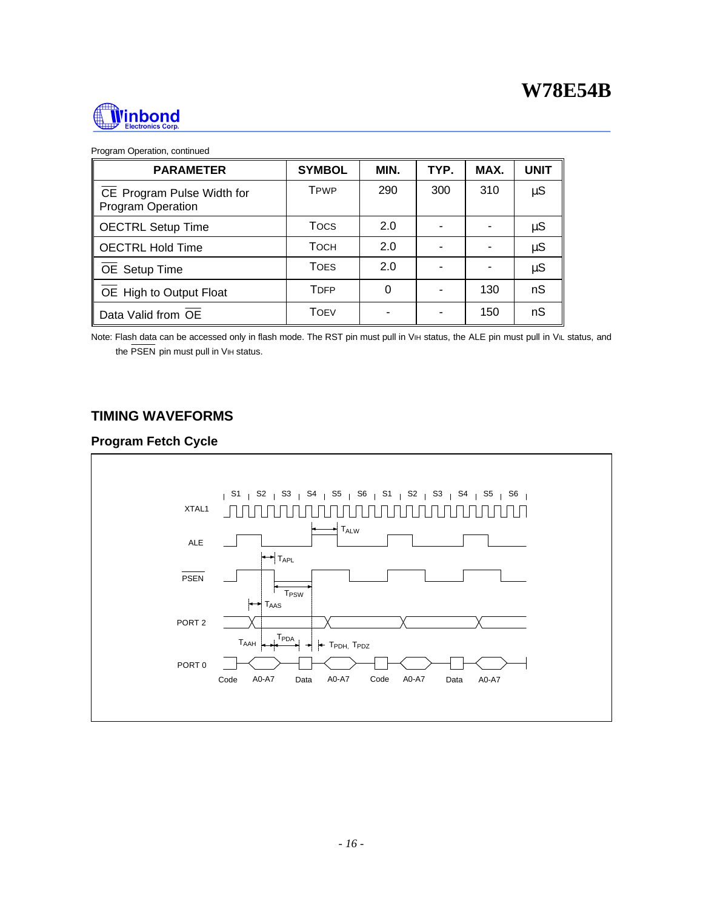

| Program Operation, continued |  |
|------------------------------|--|
|                              |  |

| <b>PARAMETER</b>                                | <b>SYMBOL</b>           | MIN. | TYP. | MAX. | <b>UNIT</b> |
|-------------------------------------------------|-------------------------|------|------|------|-------------|
| CE Program Pulse Width for<br>Program Operation | <b>TPWP</b>             | 290  | 300  | 310  | $\mu S$     |
| <b>OECTRL Setup Time</b>                        | Tocs                    | 2.0  |      |      | $\mu S$     |
| <b>OECTRL Hold Time</b>                         | Тосн                    | 2.0  |      |      | $\mu S$     |
| OE Setup Time                                   | <b>TOES</b>             | 2.0  |      |      | $\mu$ S     |
| OE High to Output Float                         | <b>T</b> <sub>DFP</sub> | 0    |      | 130  | nS          |
| Data Valid from OE                              | TOEV                    |      |      | 150  | nS          |

Note: Flash data can be accessed only in flash mode. The RST pin must pull in VIH status, the ALE pin must pull in VIL status, and the PSEN pin must pull in VIH status.

## **TIMING WAVEFORMS**

## **Program Fetch Cycle**

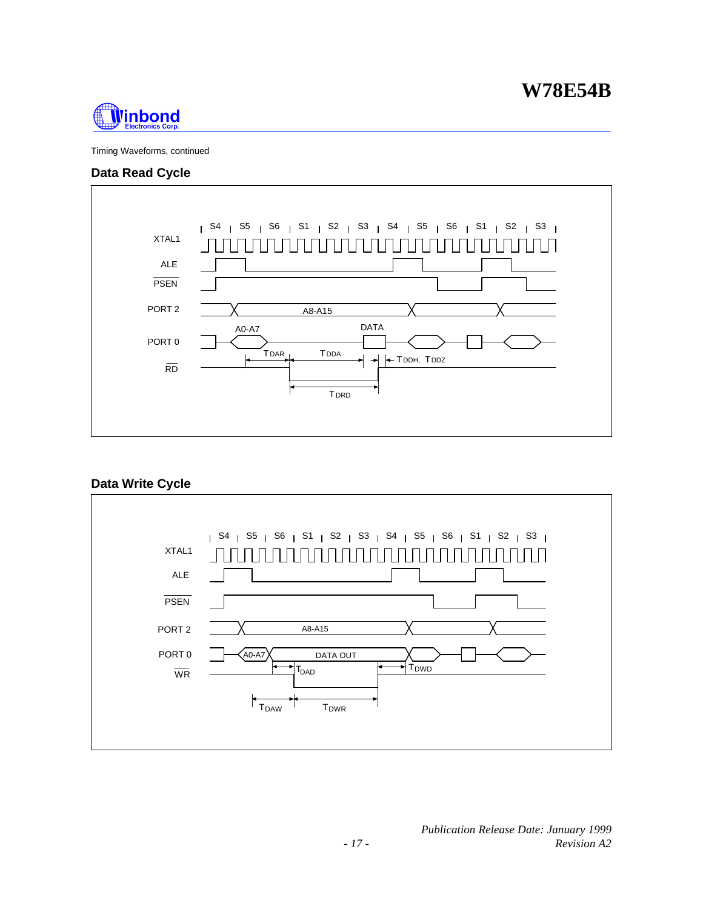

Timing Waveforms, continued

## **Data Read Cycle**



## **Data Write Cycle**

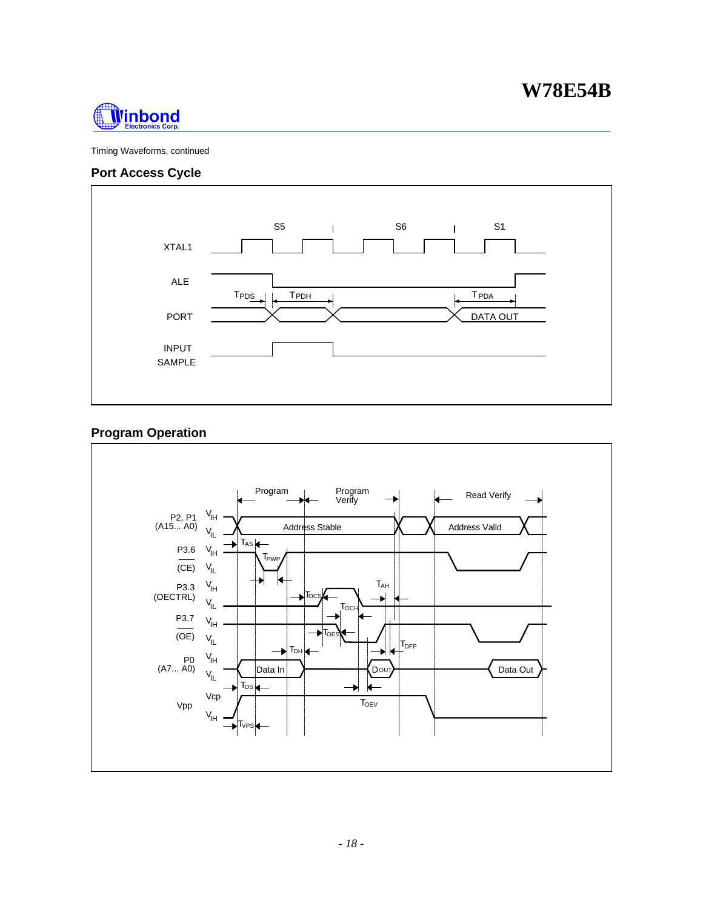

Timing Waveforms, continued

## **Port Access Cycle**



## **Program Operation**

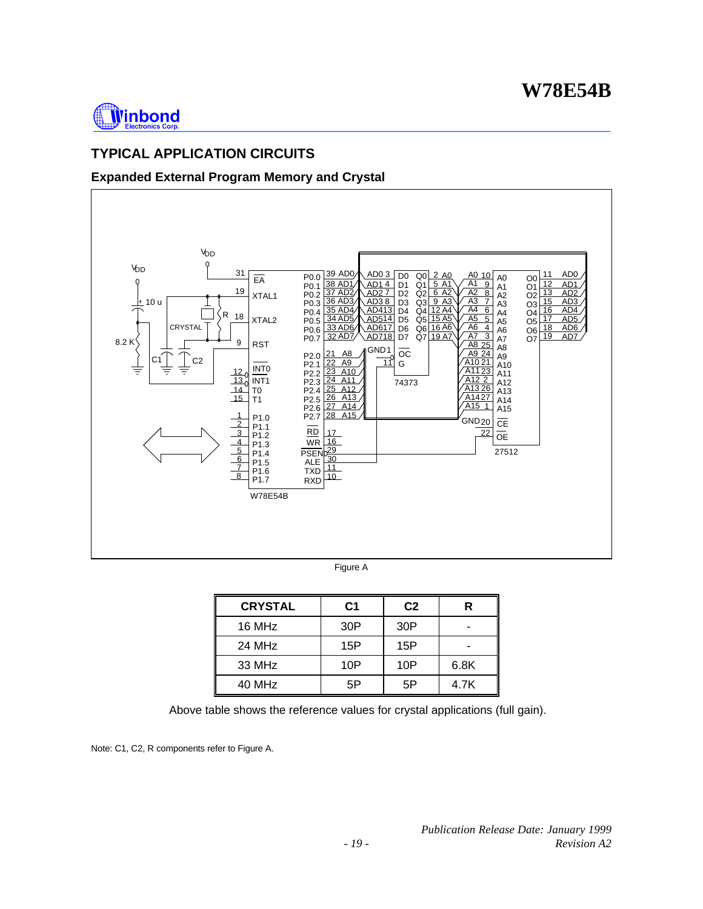

## **TYPICAL APPLICATION CIRCUITS**

## **Expanded External Program Memory and Crystal**



| <b>CRYSTAL</b> | C1  | C <sub>2</sub> | R    |
|----------------|-----|----------------|------|
| 16 MHz         | 30P | 30P            |      |
| 24 MHz         | 15P | 15P            |      |
| 33 MHz         | 10P | 10P            | 6.8K |
| 40 MHz         | 5Р  | 5Ρ             | 4.7K |

Above table shows the reference values for crystal applications (full gain).

Note: C1, C2, R components refer to Figure A.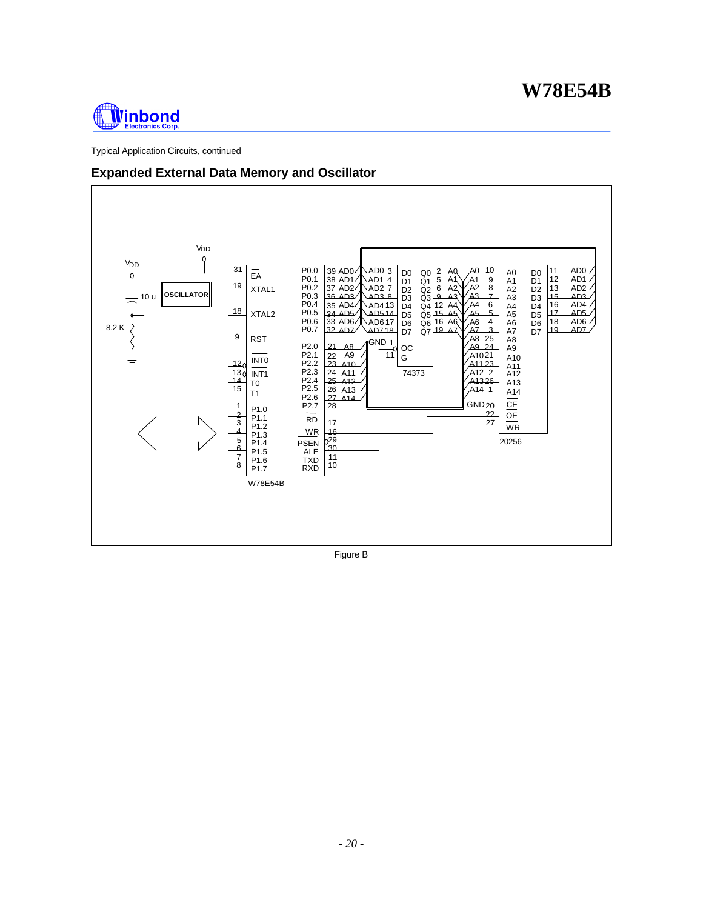

Typical Application Circuits, continued

## **Expanded External Data Memory and Oscillator**



Figure B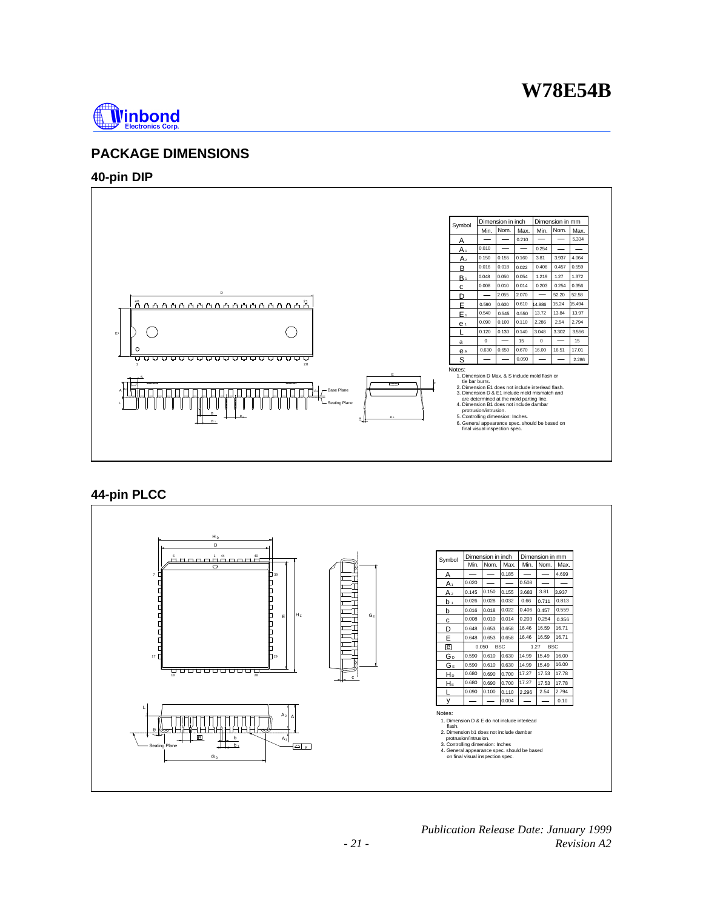

## **PACKAGE DIMENSIONS**

### **40-pin DIP**



## **44-pin PLCC**